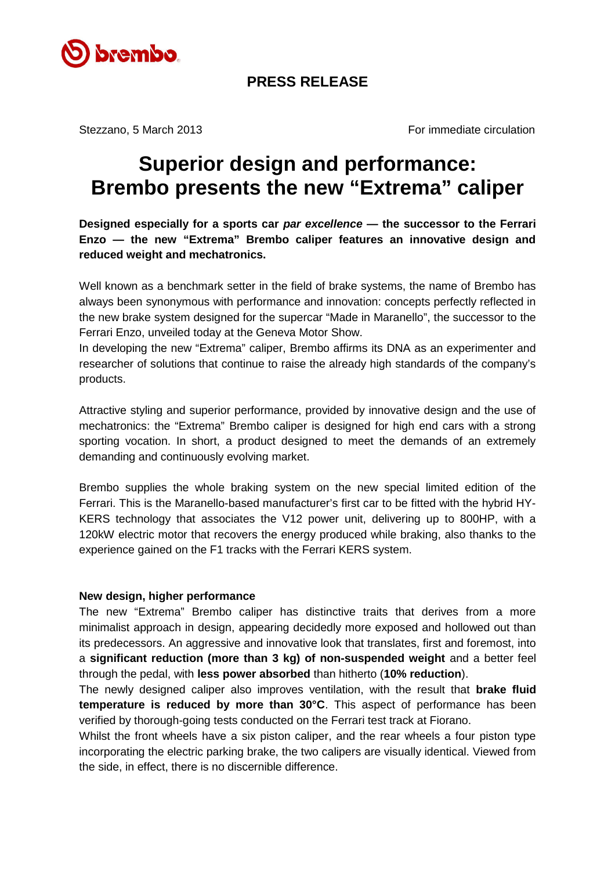

## **PRESS RELEASE**

Stezzano, 5 March 2013 **For immediate circulation** 

# **Superior design and performance: Brembo presents the new "Extrema" caliper**

**Designed especially for a sports car** *par excellence* **— the successor to the Ferrari Enzo — the new "Extrema" Brembo caliper features an innovative design and reduced weight and mechatronics.**

Well known as a benchmark setter in the field of brake systems, the name of Brembo has always been synonymous with performance and innovation: concepts perfectly reflected in the new brake system designed for the supercar "Made in Maranello", the successor to the Ferrari Enzo, unveiled today at the Geneva Motor Show.

In developing the new "Extrema" caliper, Brembo affirms its DNA as an experimenter and researcher of solutions that continue to raise the already high standards of the company's products.

Attractive styling and superior performance, provided by innovative design and the use of mechatronics: the "Extrema" Brembo caliper is designed for high end cars with a strong sporting vocation. In short, a product designed to meet the demands of an extremely demanding and continuously evolving market.

Brembo supplies the whole braking system on the new special limited edition of the Ferrari. This is the Maranello-based manufacturer's first car to be fitted with the hybrid HY-KERS technology that associates the V12 power unit, delivering up to 800HP, with a 120kW electric motor that recovers the energy produced while braking, also thanks to the experience gained on the F1 tracks with the Ferrari KERS system.

#### **New design, higher performance**

The new "Extrema" Brembo caliper has distinctive traits that derives from a more minimalist approach in design, appearing decidedly more exposed and hollowed out than its predecessors. An aggressive and innovative look that translates, first and foremost, into a **significant reduction (more than 3 kg) of non-suspended weight** and a better feel through the pedal, with **less power absorbed** than hitherto (**10% reduction**).

The newly designed caliper also improves ventilation, with the result that **brake fluid temperature is reduced by more than 30°C**. This aspect of performance has been verified by thorough-going tests conducted on the Ferrari test track at Fiorano.

Whilst the front wheels have a six piston caliper, and the rear wheels a four piston type incorporating the electric parking brake, the two calipers are visually identical. Viewed from the side, in effect, there is no discernible difference.